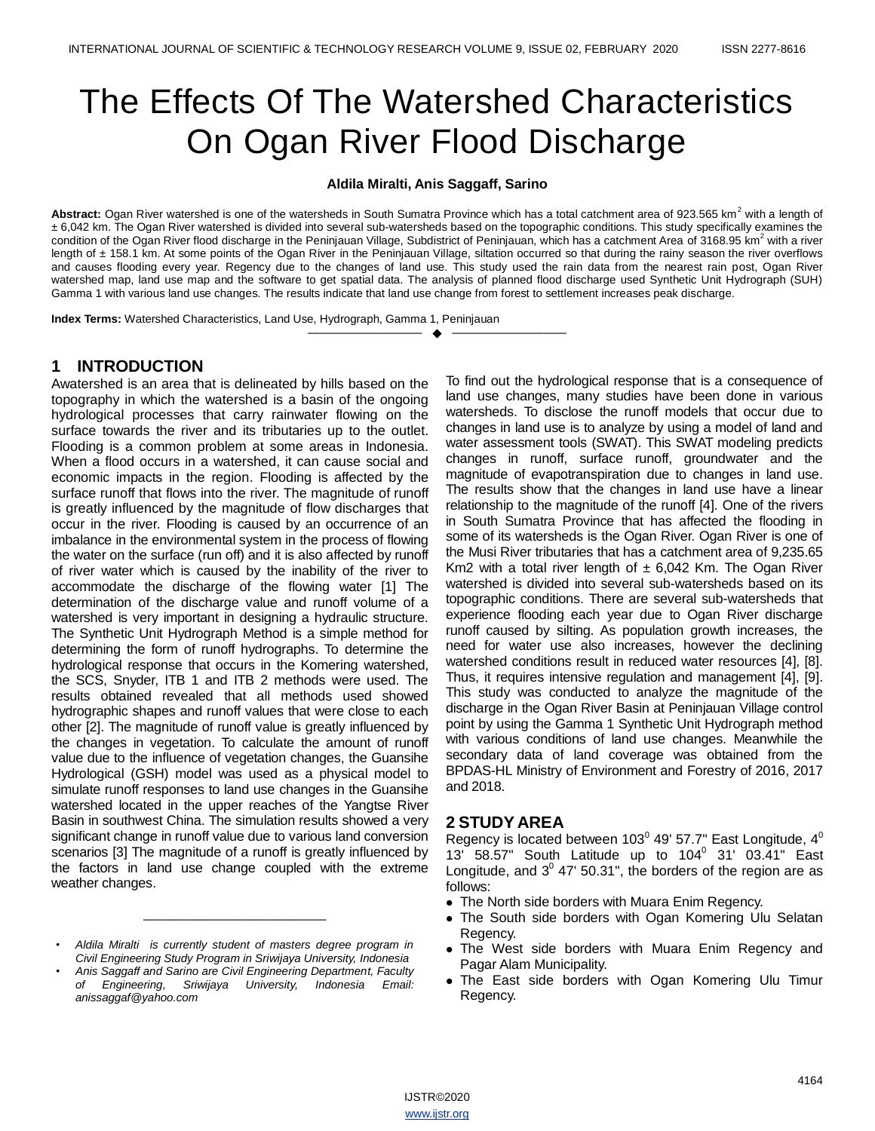# The Effects Of The Watershed Characteristics On Ogan River Flood Discharge

#### **Aldila Miralti, Anis Saggaff, Sarino**

Abstract: Ogan River watershed is one of the watersheds in South Sumatra Province which has a total catchment area of 923.565 km<sup>2</sup> with a length of ± 6,042 km. The Ogan River watershed is divided into several sub-watersheds based on the topographic conditions. This study specifically examines the condition of the Ogan River flood discharge in the Peninjauan Village, Subdistrict of Peninjauan, which has a catchment Area of 3168.95 km<sup>2</sup> with a river length of ± 158.1 km. At some points of the Ogan River in the Peninjauan Village, siltation occurred so that during the rainy season the river overflows and causes flooding every year. Regency due to the changes of land use. This study used the rain data from the nearest rain post, Ogan River watershed map, land use map and the software to get spatial data. The analysis of planned flood discharge used Synthetic Unit Hydrograph (SUH) Gamma 1 with various land use changes. The results indicate that land use change from forest to settlement increases peak discharge.

—————————— ——————————

**Index Terms:** Watershed Characteristics, Land Use, Hydrograph, Gamma 1, Peninjauan

## **1 INTRODUCTION**

Awatershed is an area that is delineated by hills based on the topography in which the watershed is a basin of the ongoing hydrological processes that carry rainwater flowing on the surface towards the river and its tributaries up to the outlet. Flooding is a common problem at some areas in Indonesia. When a flood occurs in a watershed, it can cause social and economic impacts in the region. Flooding is affected by the surface runoff that flows into the river. The magnitude of runoff is greatly influenced by the magnitude of flow discharges that occur in the river. Flooding is caused by an occurrence of an imbalance in the environmental system in the process of flowing the water on the surface (run off) and it is also affected by runoff of river water which is caused by the inability of the river to accommodate the discharge of the flowing water [1] The determination of the discharge value and runoff volume of a watershed is very important in designing a hydraulic structure. The Synthetic Unit Hydrograph Method is a simple method for determining the form of runoff hydrographs. To determine the hydrological response that occurs in the Komering watershed, the SCS, Snyder, ITB 1 and ITB 2 methods were used. The results obtained revealed that all methods used showed hydrographic shapes and runoff values that were close to each other [2]. The magnitude of runoff value is greatly influenced by the changes in vegetation. To calculate the amount of runoff value due to the influence of vegetation changes, the Guansihe Hydrological (GSH) model was used as a physical model to simulate runoff responses to land use changes in the Guansihe watershed located in the upper reaches of the Yangtse River Basin in southwest China. The simulation results showed a very significant change in runoff value due to various land conversion scenarios [3] The magnitude of a runoff is greatly influenced by the factors in land use change coupled with the extreme weather changes.

*• Aldila Miralti is currently student of masters degree program in Civil Engineering Study Program in Sriwijaya University, Indonesia*

*————————————————*

*• Anis Saggaff and Sarino are Civil Engineering Department, Faculty of Engineering, Sriwijaya University, Indonesia Email: anissaggaf@yahoo.com*

To find out the hydrological response that is a consequence of land use changes, many studies have been done in various watersheds. To disclose the runoff models that occur due to changes in land use is to analyze by using a model of land and water assessment tools (SWAT). This SWAT modeling predicts changes in runoff, surface runoff, groundwater and the magnitude of evapotranspiration due to changes in land use. The results show that the changes in land use have a linear relationship to the magnitude of the runoff [4]. One of the rivers in South Sumatra Province that has affected the flooding in some of its watersheds is the Ogan River. Ogan River is one of the Musi River tributaries that has a catchment area of 9,235.65 Km2 with a total river length of  $\pm$  6,042 Km. The Ogan River watershed is divided into several sub-watersheds based on its topographic conditions. There are several sub-watersheds that experience flooding each year due to Ogan River discharge runoff caused by silting. As population growth increases, the need for water use also increases, however the declining watershed conditions result in reduced water resources [4], [8]. Thus, it requires intensive regulation and management [4], [9]. This study was conducted to analyze the magnitude of the discharge in the Ogan River Basin at Peninjauan Village control point by using the Gamma 1 Synthetic Unit Hydrograph method with various conditions of land use changes. Meanwhile the secondary data of land coverage was obtained from the BPDAS-HL Ministry of Environment and Forestry of 2016, 2017 and 2018.

#### **2 STUDY AREA**

Regency is located between 103 $^{\rm 0}$  49' 57.7" East Longitude, 4 $^{\rm 0}$ 13' 58.57" South Latitude up to  $104^{\circ}$  31' 03.41" East Longitude, and  $3^{\circ}$  47' 50.31", the borders of the region are as follows:

- The North side borders with Muara Enim Regency.
- The South side borders with Ogan Komering Ulu Selatan Regency.
- The West side borders with Muara Enim Regency and Pagar Alam Municipality.
- The East side borders with Ogan Komering Ulu Timur Regency.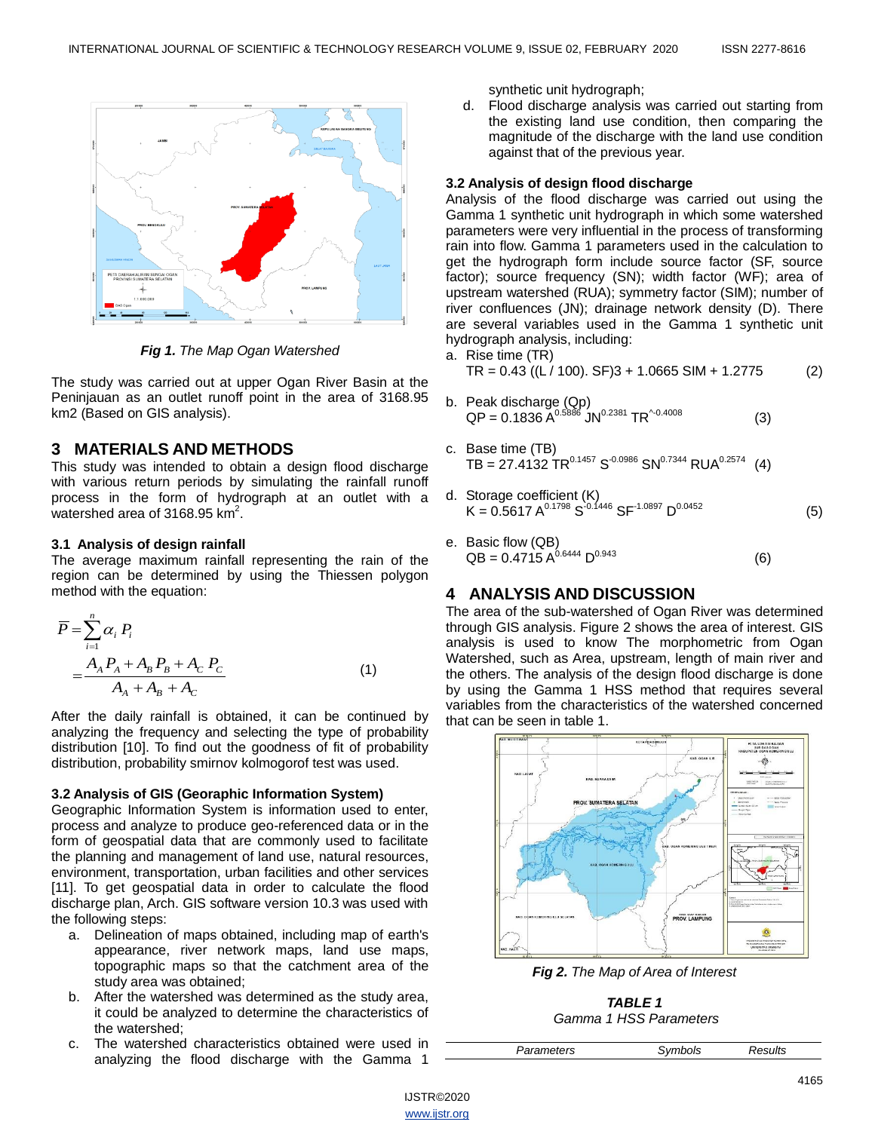

*Fig 1. The Map Ogan Watershed*

The study was carried out at upper Ogan River Basin at the Peninjauan as an outlet runoff point in the area of 3168.95 km2 (Based on GIS analysis).

## **3 MATERIALS AND METHODS**

This study was intended to obtain a design flood discharge with various return periods by simulating the rainfall runoff process in the form of hydrograph at an outlet with a watershed area of 3168.95  $km^2$ .

### **3.1 Analysis of design rainfall**

The average maximum rainfall representing the rain of the region can be determined by using the Thiessen polygon method with the equation:

$$
\overline{P} = \sum_{i=1}^{n} \alpha_i P_i
$$
\n
$$
= \frac{A_A P_A + A_B P_B + A_C P_C}{A_A + A_B + A_C}
$$
\n(1)

After the daily rainfall is obtained, it can be continued by analyzing the frequency and selecting the type of probability distribution [10]. To find out the goodness of fit of probability distribution, probability smirnov kolmogorof test was used.

#### **3.2 Analysis of GIS (Georaphic Information System)**

Geographic Information System is information used to enter, process and analyze to produce geo-referenced data or in the form of geospatial data that are commonly used to facilitate the planning and management of land use, natural resources, environment, transportation, urban facilities and other services [11]. To get geospatial data in order to calculate the flood discharge plan, Arch. GIS software version 10.3 was used with the following steps:

- a. Delineation of maps obtained, including map of earth's appearance, river network maps, land use maps, topographic maps so that the catchment area of the study area was obtained;
- b. After the watershed was determined as the study area, it could be analyzed to determine the characteristics of the watershed;
- c. The watershed characteristics obtained were used in analyzing the flood discharge with the Gamma 1

synthetic unit hydrograph;

d. Flood discharge analysis was carried out starting from the existing land use condition, then comparing the magnitude of the discharge with the land use condition against that of the previous year.

#### **3.2 Analysis of design flood discharge**

Analysis of the flood discharge was carried out using the Gamma 1 synthetic unit hydrograph in which some watershed parameters were very influential in the process of transforming rain into flow. Gamma 1 parameters used in the calculation to get the hydrograph form include source factor (SF, source factor); source frequency (SN); width factor (WF); area of upstream watershed (RUA); symmetry factor (SIM); number of river confluences (JN); drainage network density (D). There are several variables used in the Gamma 1 synthetic unit hydrograph analysis, including:

a. Rise time (TR)  $TR = 0.43 ((L / 100). SF)3 + 1.0665 SIM + 1.2775$  (2)

- b. Peak discharge (Qp)  ${\sf QP}$  = 0.1836 A<sup>0.5886</sup> JN<sup>0.2381</sup> TR<sup>^-0.4008</sup> (3)
- c. Base time (TB) TB = 27.4132 TR<sup>0.1457</sup> S<sup>-0.0986</sup> SN<sup>0.7344</sup> RUA<sup>0.2574</sup> (4)
- d. Storage coefficient (K)  $K = 0.5617 A^{0.1798} S^{-0.1446} S F^{-1.0897} D^{0.0452}$  (5)
- e. Basic flow (QB)  $QB = 0.4715 A^{0.6444} D^{0.943}$  (6)

## **4 ANALYSIS AND DISCUSSION**

The area of the sub-watershed of Ogan River was determined through GIS analysis. Figure 2 shows the area of interest. GIS analysis is used to know The morphometric from Ogan Watershed, such as Area, upstream, length of main river and the others. The analysis of the design flood discharge is done by using the Gamma 1 HSS method that requires several variables from the characteristics of the watershed concerned that can be seen in table 1.



*Fig 2. The Map of Area of Interest*

*TABLE 1 Gamma 1 HSS Parameters*

| Parameters | Symbols | Results |  |
|------------|---------|---------|--|
|            |         |         |  |

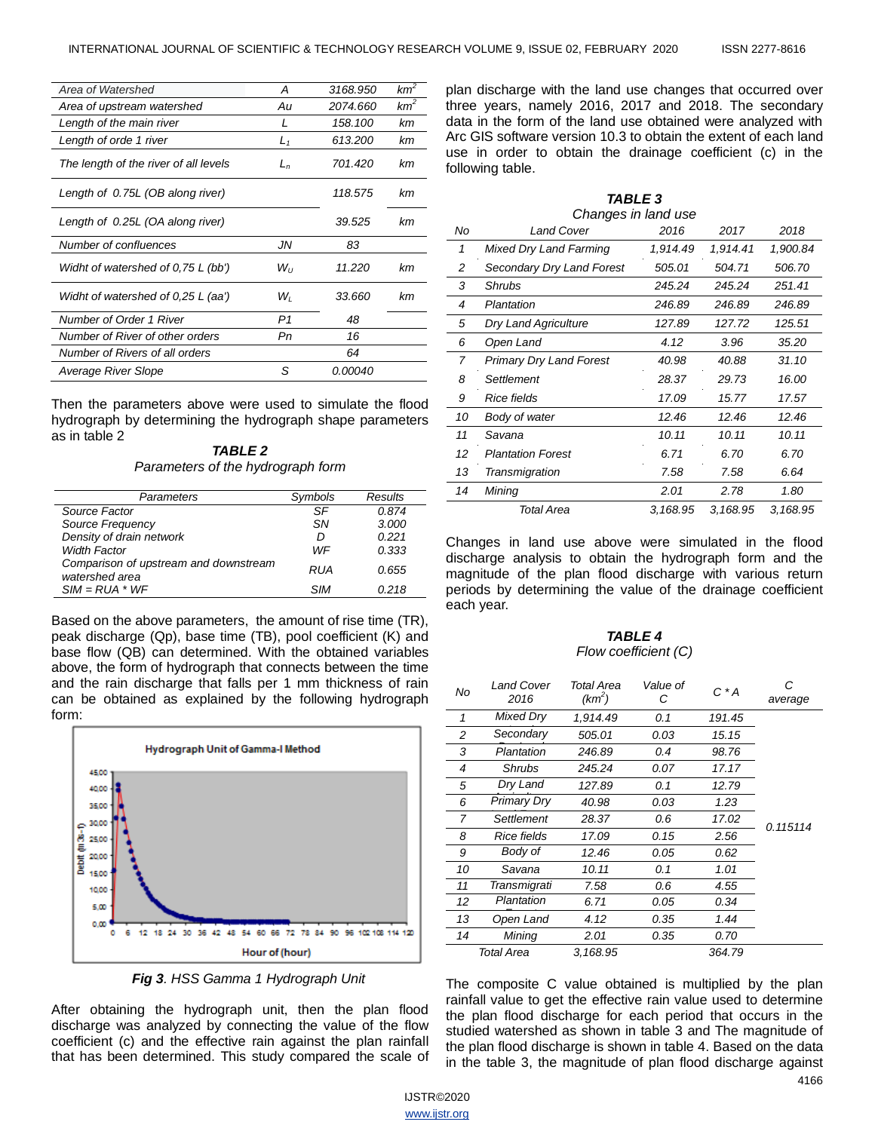| Area of Watershed                     | А              | 3168.950 | $km^2$ |
|---------------------------------------|----------------|----------|--------|
| Area of upstream watershed            | Au             | 2074.660 | $km^2$ |
| Length of the main river              | I              | 158.100  | kт     |
| Length of orde 1 river                | $L_1$          | 613.200  | kт     |
| The length of the river of all levels | L <sub>n</sub> | 701.420  | kт     |
| Length of 0.75L (OB along river)      |                | 118.575  | kт     |
| Length of 0.25L (OA along river)      |                | 39.525   | kт     |
| Number of confluences                 | JN             | 83       |        |
| Widht of watershed of 0.75 L (bb')    | $W_{II}$       | 11.220   | kт     |
| Widht of watershed of 0,25 L (aa')    | Wı             | 33.660   | kт     |
| Number of Order 1 River               | P1             | 48       |        |
| Number of River of other orders       | Рn             | 16       |        |
| Number of Rivers of all orders        |                | 64       |        |
| Average River Slope                   | S              | 0.00040  |        |

Then the parameters above were used to simulate the flood hydrograph by determining the hydrograph shape parameters as in table 2

*TABLE 2 Parameters of the hydrograph form*

| Parameters                                              | Symbols | Results |
|---------------------------------------------------------|---------|---------|
| Source Factor                                           | SF      | 0.874   |
| Source Frequency                                        | .SN     | 3.000   |
| Density of drain network                                | D       | 0.221   |
| <b>Width Factor</b>                                     | WF      | 0.333   |
| Comparison of upstream and downstream<br>watershed area | RUA     | 0.655   |
| $SIM = RUA * WF$                                        | SIM     | 0.218   |

Based on the above parameters, the amount of rise time (TR), peak discharge (Qp), base time (TB), pool coefficient (K) and base flow (QB) can determined. With the obtained variables above, the form of hydrograph that connects between the time and the rain discharge that falls per 1 mm thickness of rain can be obtained as explained by the following hydrograph form:



*Fig 3. HSS Gamma 1 Hydrograph Unit*

After obtaining the hydrograph unit, then the plan flood discharge was analyzed by connecting the value of the flow coefficient (c) and the effective rain against the plan rainfall that has been determined. This study compared the scale of

plan discharge with the land use changes that occurred over three years, namely 2016, 2017 and 2018. The secondary data in the form of the land use obtained were analyzed with Arc GIS software version 10.3 to obtain the extent of each land use in order to obtain the drainage coefficient (c) in the following table.

|    | TABLE 3                       |          |          |          |  |  |
|----|-------------------------------|----------|----------|----------|--|--|
|    | Changes in land use           |          |          |          |  |  |
| No | <b>Land Cover</b>             | 2016     | 2017     | 2018     |  |  |
| 1  | <b>Mixed Dry Land Farming</b> | 1,914.49 | 1,914.41 | 1,900.84 |  |  |
| 2  | Secondary Dry Land Forest     | 505.01   | 504.71   | 506.70   |  |  |
| 3  | <b>Shrubs</b>                 | 245.24   | 245.24   | 251.41   |  |  |
| 4  | Plantation                    | 246.89   | 246.89   | 246.89   |  |  |
| 5  | Dry Land Agriculture          | 127.89   | 127.72   | 125.51   |  |  |
| 6  | Open Land                     | 4.12     | 3.96     | 35.20    |  |  |
| 7  | Primary Dry Land Forest       | 40.98    | 40.88    | 31.10    |  |  |
| 8  | Settlement                    | 28.37    | 29.73    | 16.00    |  |  |
| 9  | Rice fields                   | 17.09    | 15.77    | 17.57    |  |  |
| 10 | Body of water                 | 12.46    | 12.46    | 12.46    |  |  |
| 11 | Savana                        | 10.11    | 10.11    | 10.11    |  |  |
| 12 | <b>Plantation Forest</b>      | 6.71     | 6.70     | 6.70     |  |  |
| 13 | Transmigration                | 7.58     | 7.58     | 6.64     |  |  |
| 14 | Mining                        | 2.01     | 2.78     | 1.80     |  |  |
|    | Total Area                    | 3,168.95 | 3,168.95 | 3,168.95 |  |  |

Changes in land use above were simulated in the flood discharge analysis to obtain the hydrograph form and the magnitude of the plan flood discharge with various return periods by determining the value of the drainage coefficient each year.

#### *TABLE 4 Flow coefficient (C)*

| No. | Land Cover<br>2016 | Total Area<br>$(km^2)$ | Value of<br>$C^*A$<br>С |        | С<br>average |
|-----|--------------------|------------------------|-------------------------|--------|--------------|
| 1   | Mixed Dry          | 1.914.49               | 0.1                     | 191.45 |              |
| 2   | Secondary          | 505.01                 | 0.03                    | 15.15  |              |
| 3   | Plantation         | 246.89                 | 0.4                     | 98.76  |              |
| 4   | <b>Shrubs</b>      | 245.24                 | 0.07                    | 17.17  |              |
| 5   | Dry Land           | 127.89                 | 0.1                     | 12.79  |              |
| 6   | Primary Dry        | 40.98                  | 0.03                    | 1.23   |              |
| 7   | Settlement         | 28.37                  | 0.6                     | 17.02  | 0.115114     |
| 8   | Rice fields        | 17.09                  | 0.15                    | 2.56   |              |
| 9   | Body of            | 12.46                  | 0.05                    | 0.62   |              |
| 10  | Savana             | 10.11                  | 0.1                     | 1.01   |              |
| 11  | Transmigrati       | 7.58                   | 0.6                     | 4.55   |              |
| 12  | Plantation         | 6.71                   | 0.05                    | 0.34   |              |
| 13  | Open Land          | 4.12                   | 0.35                    | 1.44   |              |
| 14  | Mining             | 2.01                   | 0.35                    | 0.70   |              |
|     | Total Area         | 3,168.95               |                         | 364.79 |              |

The composite C value obtained is multiplied by the plan rainfall value to get the effective rain value used to determine the plan flood discharge for each period that occurs in the studied watershed as shown in table 3 and The magnitude of the plan flood discharge is shown in table 4. Based on the data in the table 3, the magnitude of plan flood discharge against